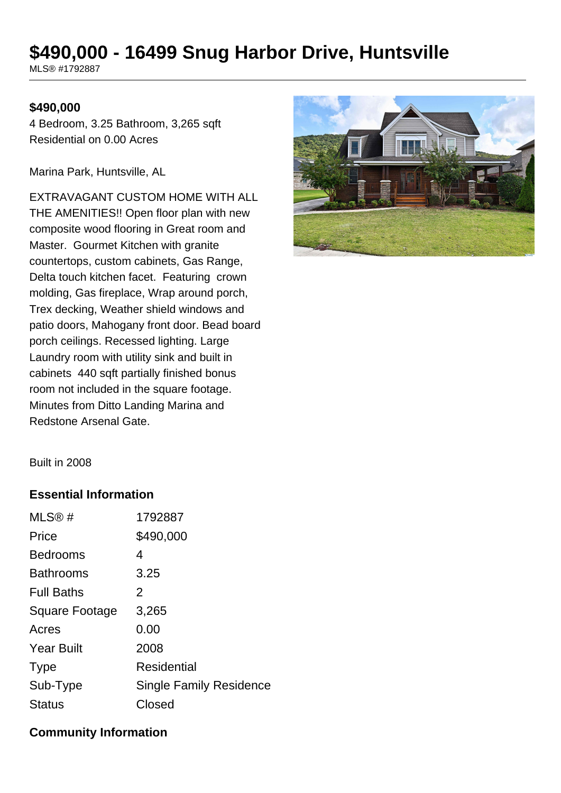# **\$490,000 - 16499 Snug Harbor Drive, Huntsville**

MLS® #1792887

#### **\$490,000**

4 Bedroom, 3.25 Bathroom, 3,265 sqft Residential on 0.00 Acres

Marina Park, Huntsville, AL

EXTRAVAGANT CUSTOM HOME WITH ALL THE AMENITIES!! Open floor plan with new composite wood flooring in Great room and Master. Gourmet Kitchen with granite countertops, custom cabinets, Gas Range, Delta touch kitchen facet. Featuring crown molding, Gas fireplace, Wrap around porch, Trex decking, Weather shield windows and patio doors, Mahogany front door. Bead board porch ceilings. Recessed lighting. Large Laundry room with utility sink and built in cabinets 440 sqft partially finished bonus room not included in the square footage. Minutes from Ditto Landing Marina and Redstone Arsenal Gate.



Built in 2008

#### **Essential Information**

| 1792887                        |
|--------------------------------|
| \$490,000                      |
| 4                              |
| 3.25                           |
| 2                              |
| 3,265                          |
| 0.00                           |
| 2008                           |
| Residential                    |
| <b>Single Family Residence</b> |
| Closed                         |
|                                |

## **Community Information**